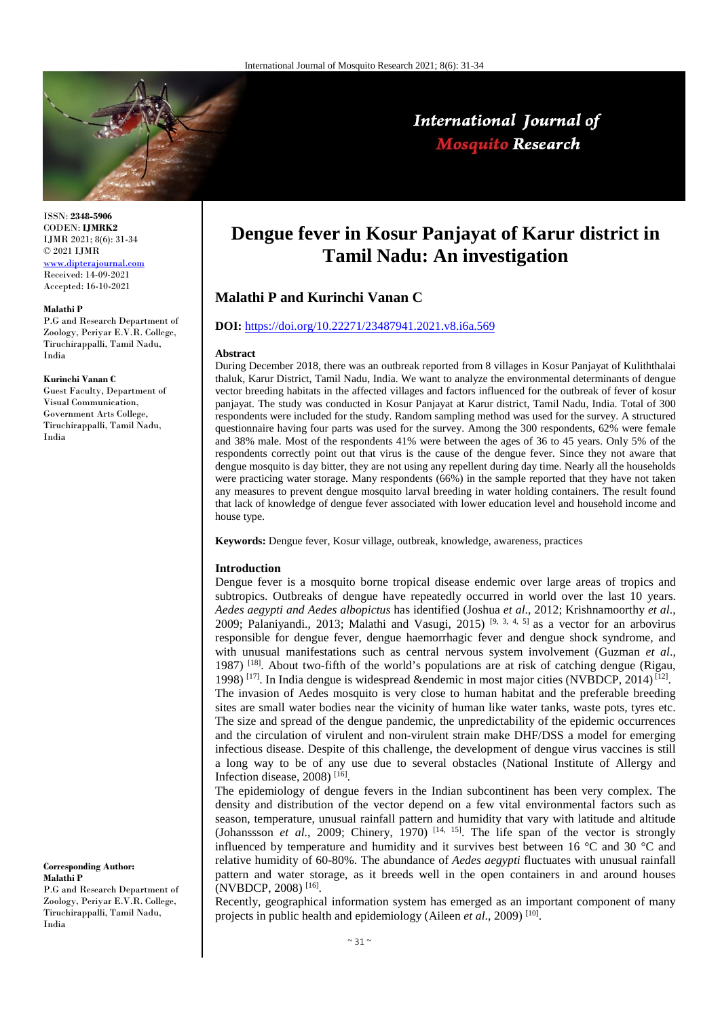

## International Journal of **Mosquito Research**

ISSN: **2348-5906** CODEN: **IJMRK2** IJMR 2021; 8(6): 31-34 © 2021 IJMR [www.dipterajournal.com](file://server/d/Mosquito/Issue/8%20Volume/www.dipterajournal.com)

Received: 14-09-2021 Accepted: 16-10-2021

#### **Malathi P**

P.G and Research Department of Zoology, Periyar E.V.R. College, Tiruchirappalli, Tamil Nadu, India

#### **Kurinchi Vanan C**

Guest Faculty, Department of Visual Communication, Government Arts College, Tiruchirappalli, Tamil Nadu, India

#### **Corresponding Author: Malathi P**

P.G and Research Department of Zoology, Periyar E.V.R. College, Tiruchirappalli, Tamil Nadu, India

# **Dengue fever in Kosur Panjayat of Karur district in Tamil Nadu: An investigation**

### **Malathi P and Kurinchi Vanan C**

#### **DOI:** <https://doi.org/10.22271/23487941.2021.v8.i6a.569>

#### **Abstract**

During December 2018, there was an outbreak reported from 8 villages in Kosur Panjayat of Kuliththalai thaluk, Karur District, Tamil Nadu, India. We want to analyze the environmental determinants of dengue vector breeding habitats in the affected villages and factors influenced for the outbreak of fever of kosur panjayat. The study was conducted in Kosur Panjayat at Karur district, Tamil Nadu, India. Total of 300 respondents were included for the study. Random sampling method was used for the survey. A structured questionnaire having four parts was used for the survey. Among the 300 respondents, 62% were female and 38% male. Most of the respondents 41% were between the ages of 36 to 45 years. Only 5% of the respondents correctly point out that virus is the cause of the dengue fever. Since they not aware that dengue mosquito is day bitter, they are not using any repellent during day time. Nearly all the households were practicing water storage. Many respondents (66%) in the sample reported that they have not taken any measures to prevent dengue mosquito larval breeding in water holding containers. The result found that lack of knowledge of dengue fever associated with lower education level and household income and house type.

**Keywords:** Dengue fever, Kosur village, outbreak, knowledge, awareness, practices

#### **Introduction**

Dengue fever is a mosquito borne tropical disease endemic over large areas of tropics and subtropics. Outbreaks of dengue have repeatedly occurred in world over the last 10 years. *Aedes aegypti and Aedes albopictus* has identified (Joshua *et al*., 2012; Krishnamoorthy *et al*., 2009; Palaniyandi., 2013; Malathi and Vasugi, 2015) <sup>[9, 3, 4, 5]</sup> as a vector for an arbovirus responsible for dengue fever, dengue haemorrhagic fever and dengue shock syndrome, and with unusual manifestations such as central nervous system involvement (Guzman *et al*., 1987)<sup>[18]</sup>. About two-fifth of the world's populations are at risk of catching dengue (Rigau, 1998)<sup>[17]</sup>. In India dengue is widespread &endemic in most major cities (NVBDCP, 2014)<sup>[12]</sup>. The invasion of Aedes mosquito is very close to human habitat and the preferable breeding sites are small water bodies near the vicinity of human like water tanks, waste pots, tyres etc. The size and spread of the dengue pandemic, the unpredictability of the epidemic occurrences and the circulation of virulent and non-virulent strain make DHF/DSS a model for emerging infectious disease. Despite of this challenge, the development of dengue virus vaccines is still a long way to be of any use due to several obstacles (National Institute of Allergy and Infection disease, 2008) [16] .

The epidemiology of dengue fevers in the Indian subcontinent has been very complex. The density and distribution of the vector depend on a few vital environmental factors such as season, temperature, unusual rainfall pattern and humidity that vary with latitude and altitude (Johanssson *et al.*, 2009; Chinery, 1970)<sup>[14, 15]</sup>. The life span of the vector is strongly influenced by temperature and humidity and it survives best between 16 °C and 30 °C and relative humidity of 60-80%. The abundance of *Aedes aegypti* fluctuates with unusual rainfall pattern and water storage, as it breeds well in the open containers in and around houses (NVBDCP, 2008) [16] .

Recently, geographical information system has emerged as an important component of many projects in public health and epidemiology (Aileen *et al.*, 2009)<sup>[10]</sup>.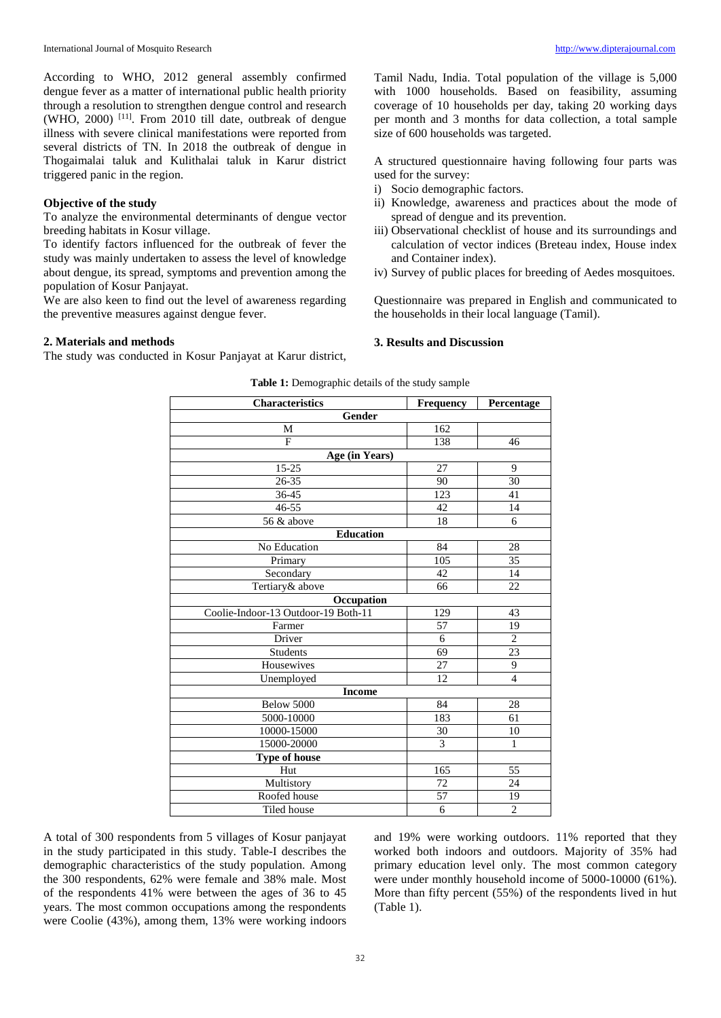According to WHO, 2012 general assembly confirmed dengue fever as a matter of international public health priority through a resolution to strengthen dengue control and research  $(WHO, 2000)$ <sup>[11]</sup>. From 2010 till date, outbreak of dengue illness with severe clinical manifestations were reported from several districts of TN. In 2018 the outbreak of dengue in Thogaimalai taluk and Kulithalai taluk in Karur district triggered panic in the region.

#### **Objective of the study**

To analyze the environmental determinants of dengue vector breeding habitats in Kosur village.

To identify factors influenced for the outbreak of fever the study was mainly undertaken to assess the level of knowledge about dengue, its spread, symptoms and prevention among the population of Kosur Panjayat.

We are also keen to find out the level of awareness regarding the preventive measures against dengue fever.

#### **2. Materials and methods**

The study was conducted in Kosur Panjayat at Karur district,

Tamil Nadu, India. Total population of the village is 5,000 with 1000 households. Based on feasibility, assuming coverage of 10 households per day, taking 20 working days per month and 3 months for data collection, a total sample size of 600 households was targeted.

A structured questionnaire having following four parts was used for the survey:

- i) Socio demographic factors.
- ii) Knowledge, awareness and practices about the mode of spread of dengue and its prevention.
- iii) Observational checklist of house and its surroundings and calculation of vector indices (Breteau index, House index and Container index).
- iv) Survey of public places for breeding of Aedes mosquitoes.

Questionnaire was prepared in English and communicated to the households in their local language (Tamil).

#### **3. Results and Discussion**

| Characteristics                     | <b>Frequency</b> | Percentage      |  |  |  |
|-------------------------------------|------------------|-----------------|--|--|--|
| Gender                              |                  |                 |  |  |  |
| M                                   | 162              |                 |  |  |  |
| F                                   | 138              | 46              |  |  |  |
| Age (in Years)                      |                  |                 |  |  |  |
| $15 - 25$                           | 27               | 9               |  |  |  |
| $26 - 35$                           | 90               | 30              |  |  |  |
| 36-45                               | 123              | 41              |  |  |  |
| 46-55                               | 42               | 14              |  |  |  |
| 56 & above                          | 18               | 6               |  |  |  |
| <b>Education</b>                    |                  |                 |  |  |  |
| No Education                        | 84               | 28              |  |  |  |
| Primary                             | 105              | 35              |  |  |  |
| Secondary                           | 42               | 14              |  |  |  |
| Tertiary& above                     | 66               | 22              |  |  |  |
| Occupation                          |                  |                 |  |  |  |
| Coolie-Indoor-13 Outdoor-19 Both-11 | 129              | 43              |  |  |  |
| Farmer                              | 57               | 19              |  |  |  |
| Driver                              | $\overline{6}$   | $\overline{2}$  |  |  |  |
| Students                            | 69               | $\overline{23}$ |  |  |  |
| Housewives                          | 27               | 9               |  |  |  |
| Unemployed                          | 12               | $\overline{4}$  |  |  |  |
| <b>Income</b>                       |                  |                 |  |  |  |
| Below 5000                          | 84               | 28              |  |  |  |
| 5000-10000                          | 183              | 61              |  |  |  |
| 10000-15000                         | 30               | 10              |  |  |  |
| 15000-20000                         | $\mathfrak{Z}$   | $\mathbf{1}$    |  |  |  |
| <b>Type of house</b>                |                  |                 |  |  |  |
| Hut                                 | 165              | 55              |  |  |  |
| Multistory                          | 72               | 24              |  |  |  |
| Roofed house                        | 57               | 19              |  |  |  |
| Tiled house                         | 6                | $\overline{2}$  |  |  |  |

**Table 1:** Demographic details of the study sample

A total of 300 respondents from 5 villages of Kosur panjayat in the study participated in this study. Table-I describes the demographic characteristics of the study population. Among the 300 respondents, 62% were female and 38% male. Most of the respondents 41% were between the ages of 36 to 45 years. The most common occupations among the respondents were Coolie (43%), among them, 13% were working indoors

and 19% were working outdoors. 11% reported that they worked both indoors and outdoors. Majority of 35% had primary education level only. The most common category were under monthly household income of 5000-10000 (61%). More than fifty percent (55%) of the respondents lived in hut (Table 1).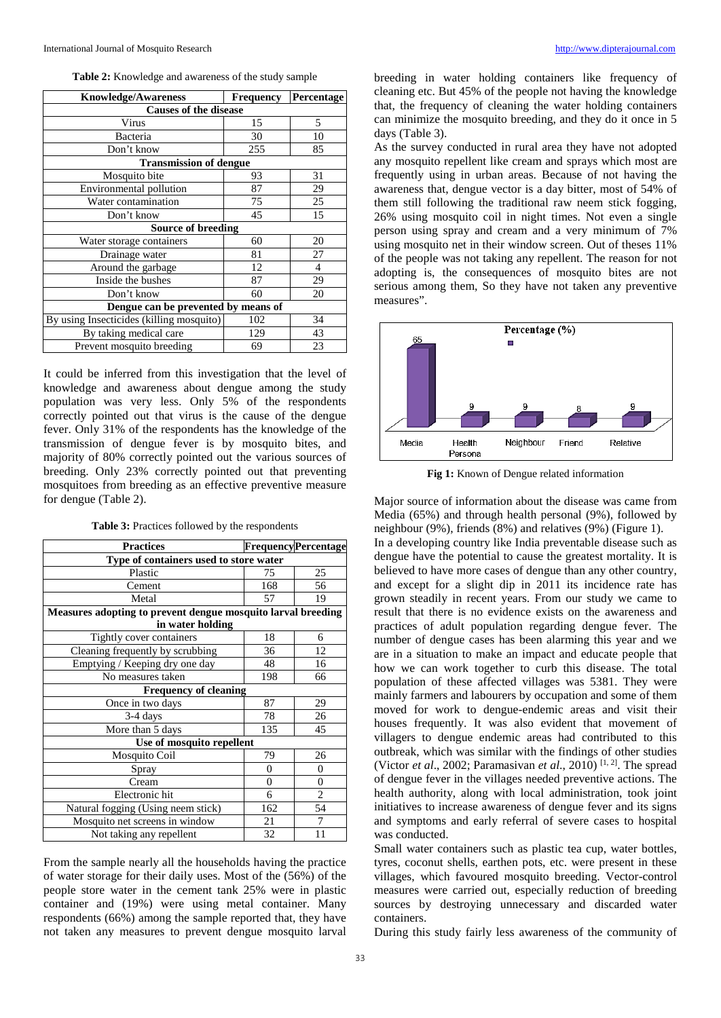| <b>Table 2:</b> Knowledge and awareness of the study sample |  |  |
|-------------------------------------------------------------|--|--|
|-------------------------------------------------------------|--|--|

| <b>Knowledge/Awareness</b>               | <b>Frequency</b> | Percentage |  |  |
|------------------------------------------|------------------|------------|--|--|
| <b>Causes of the disease</b>             |                  |            |  |  |
| Virus                                    | 15               | 5          |  |  |
| Bacteria                                 | 30               | 10         |  |  |
| Don't know                               | 255              | 85         |  |  |
| <b>Transmission of dengue</b>            |                  |            |  |  |
| Mosquito bite                            | 93               | 31         |  |  |
| Environmental pollution                  | 87               | 29         |  |  |
| Water contamination                      | 75               | 25         |  |  |
| Don't know                               | 45               | 15         |  |  |
| <b>Source of breeding</b>                |                  |            |  |  |
| Water storage containers                 | 60               | 20         |  |  |
| Drainage water                           | 81               | 27         |  |  |
| Around the garbage                       | 12               | 4          |  |  |
| Inside the bushes                        | 87               | 29         |  |  |
| Don't know                               | 60               | 20         |  |  |
| Dengue can be prevented by means of      |                  |            |  |  |
| By using Insecticides (killing mosquito) | 102              | 34         |  |  |
| By taking medical care                   | 129              | 43         |  |  |
| Prevent mosquito breeding                | 69               | 23         |  |  |

It could be inferred from this investigation that the level of knowledge and awareness about dengue among the study population was very less. Only 5% of the respondents correctly pointed out that virus is the cause of the dengue fever. Only 31% of the respondents has the knowledge of the transmission of dengue fever is by mosquito bites, and majority of 80% correctly pointed out the various sources of breeding. Only 23% correctly pointed out that preventing mosquitoes from breeding as an effective preventive measure for dengue (Table 2).

**Table 3:** Practices followed by the respondents

| <b>Practices</b>                                             |                | <b>Frequency Percentage</b> |  |  |
|--------------------------------------------------------------|----------------|-----------------------------|--|--|
| Type of containers used to store water                       |                |                             |  |  |
| Plastic                                                      | 75             | 25                          |  |  |
| Cement                                                       | 168            | 56                          |  |  |
| Metal                                                        | 57             | 19                          |  |  |
| Measures adopting to prevent dengue mosquito larval breeding |                |                             |  |  |
| in water holding                                             |                |                             |  |  |
| Tightly cover containers                                     | 18             | 6                           |  |  |
| Cleaning frequently by scrubbing                             | 36             | 12                          |  |  |
| Emptying / Keeping dry one day                               | 48             | 16                          |  |  |
| No measures taken                                            | 198            | 66                          |  |  |
| <b>Frequency of cleaning</b>                                 |                |                             |  |  |
| Once in two days                                             | 87             | 29                          |  |  |
| $3-4$ days                                                   | 78             | 26                          |  |  |
| More than 5 days                                             | 135            | 45                          |  |  |
| Use of mosquito repellent                                    |                |                             |  |  |
| Mosquito Coil                                                | 79             | 26                          |  |  |
| Spray                                                        | $\theta$       | $\theta$                    |  |  |
| Cream                                                        | $\overline{0}$ | $\boldsymbol{0}$            |  |  |
| Electronic hit                                               | 6              | $\overline{c}$              |  |  |
| Natural fogging (Using neem stick)                           | 162            | 54                          |  |  |
| Mosquito net screens in window                               | 21             | 7                           |  |  |
| Not taking any repellent                                     | 32             | 11                          |  |  |

From the sample nearly all the households having the practice of water storage for their daily uses. Most of the (56%) of the people store water in the cement tank 25% were in plastic container and (19%) were using metal container. Many respondents (66%) among the sample reported that, they have not taken any measures to prevent dengue mosquito larval

breeding in water holding containers like frequency of cleaning etc. But 45% of the people not having the knowledge that, the frequency of cleaning the water holding containers can minimize the mosquito breeding, and they do it once in 5 days (Table 3).

As the survey conducted in rural area they have not adopted any mosquito repellent like cream and sprays which most are frequently using in urban areas. Because of not having the awareness that, dengue vector is a day bitter, most of 54% of them still following the traditional raw neem stick fogging, 26% using mosquito coil in night times. Not even a single person using spray and cream and a very minimum of 7% using mosquito net in their window screen. Out of theses 11% of the people was not taking any repellent. The reason for not adopting is, the consequences of mosquito bites are not serious among them, So they have not taken any preventive measures".



**Fig 1:** Known of Dengue related information

Major source of information about the disease was came from Media (65%) and through health personal (9%), followed by neighbour (9%), friends (8%) and relatives (9%) (Figure 1). In a developing country like India preventable disease such as dengue have the potential to cause the greatest mortality. It is believed to have more cases of dengue than any other country, and except for a slight dip in 2011 its incidence rate has grown steadily in recent years. From our study we came to result that there is no evidence exists on the awareness and practices of adult population regarding dengue fever. The number of dengue cases has been alarming this year and we are in a situation to make an impact and educate people that how we can work together to curb this disease. The total population of these affected villages was 5381. They were mainly farmers and labourers by occupation and some of them moved for work to dengue-endemic areas and visit their houses frequently. It was also evident that movement of villagers to dengue endemic areas had contributed to this outbreak, which was similar with the findings of other studies (Victor *et al*., 2002; Paramasivan *et al*., 2010) [1, 2] . The spread of dengue fever in the villages needed preventive actions. The health authority, along with local administration, took joint initiatives to increase awareness of dengue fever and its signs and symptoms and early referral of severe cases to hospital was conducted.

Small water containers such as plastic tea cup, water bottles, tyres, coconut shells, earthen pots, etc. were present in these villages, which favoured mosquito breeding. Vector-control measures were carried out, especially reduction of breeding sources by destroying unnecessary and discarded water containers.

During this study fairly less awareness of the community of